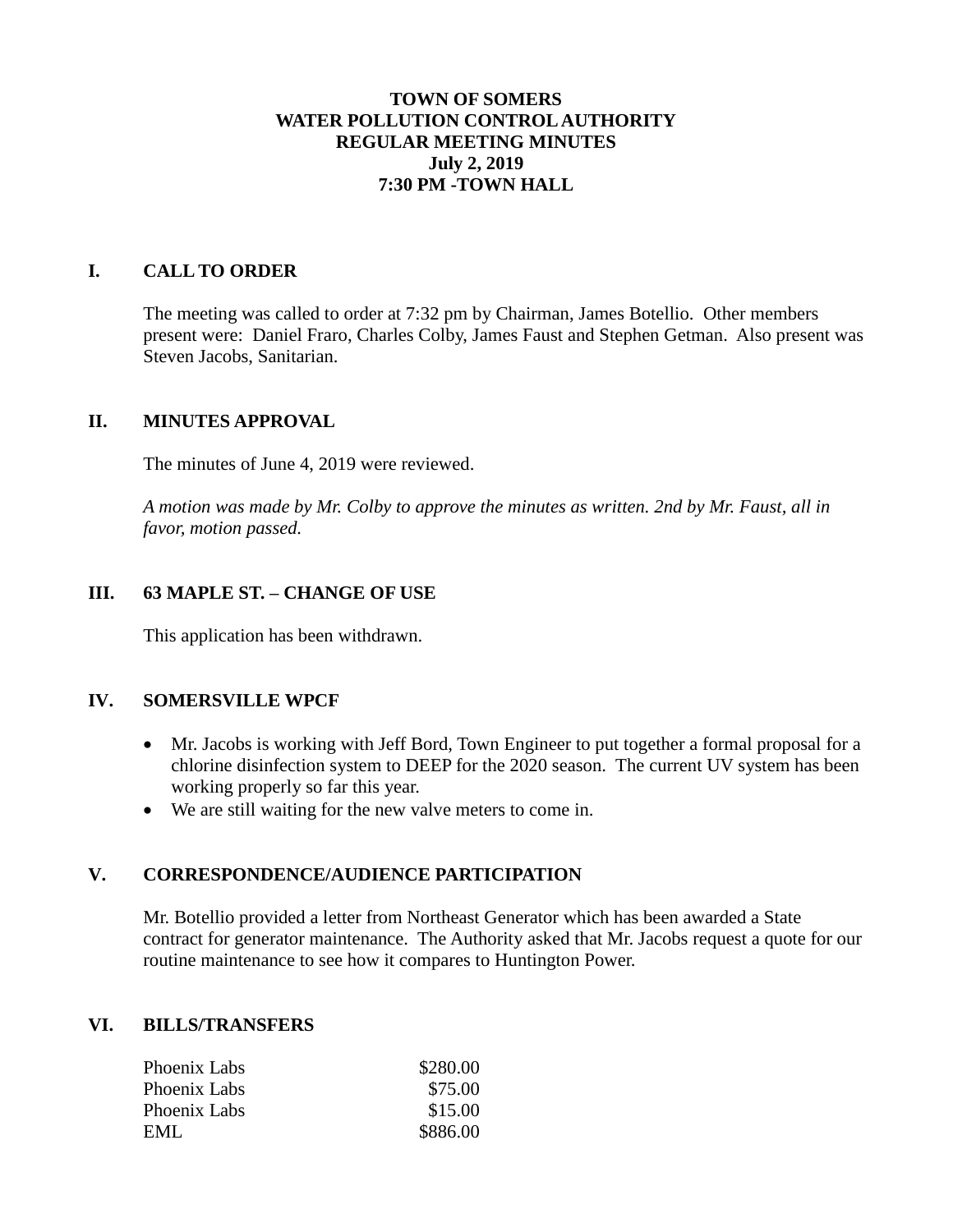# **TOWN OF SOMERS WATER POLLUTION CONTROL AUTHORITY REGULAR MEETING MINUTES July 2, 2019 7:30 PM -TOWN HALL**

# **I. CALL TO ORDER**

The meeting was called to order at 7:32 pm by Chairman, James Botellio. Other members present were: Daniel Fraro, Charles Colby, James Faust and Stephen Getman. Also present was Steven Jacobs, Sanitarian.

### **II. MINUTES APPROVAL**

The minutes of June 4, 2019 were reviewed.

*A motion was made by Mr. Colby to approve the minutes as written. 2nd by Mr. Faust, all in favor, motion passed.*

# **III. 63 MAPLE ST. – CHANGE OF USE**

This application has been withdrawn.

### **IV. SOMERSVILLE WPCF**

- Mr. Jacobs is working with Jeff Bord, Town Engineer to put together a formal proposal for a chlorine disinfection system to DEEP for the 2020 season. The current UV system has been working properly so far this year.
- We are still waiting for the new valve meters to come in.

### **V. CORRESPONDENCE/AUDIENCE PARTICIPATION**

Mr. Botellio provided a letter from Northeast Generator which has been awarded a State contract for generator maintenance. The Authority asked that Mr. Jacobs request a quote for our routine maintenance to see how it compares to Huntington Power.

#### **VI. BILLS/TRANSFERS**

| \$280.00 |
|----------|
| \$75.00  |
| \$15.00  |
| \$886.00 |
|          |